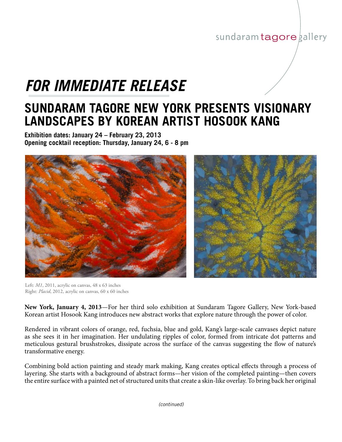## sundaram tagore gallery

## *FOR IMMEDIATE RELEASE*

## **SUNDARAM TAGORE NEW YORK PRESENTS VISIONARY LANDSCAPES BY KOREAN ARTIST HOSOOK KANG**

**Exhibition dates: January 24 – February 23, 2013 Opening cocktail reception: Thursday, January 24, 6 - 8 pm**



Left: *M1*, 2011, acrylic on canvas, 48 x 63 inches Right: *Placid*, 2012, acrylic on canvas, 60 x 60 inches

**New York, January 4, 2013**—For her third solo exhibition at Sundaram Tagore Gallery, New York-based Korean artist Hosook Kang introduces new abstract works that explore nature through the power of color.

Rendered in vibrant colors of orange, red, fuchsia, blue and gold, Kang's large-scale canvases depict nature as she sees it in her imagination. Her undulating ripples of color, formed from intricate dot patterns and meticulous gestural brushstrokes, dissipate across the surface of the canvas suggesting the flow of nature's transformative energy.

Combining bold action painting and steady mark making, Kang creates optical effects through a process of layering. She starts with a background of abstract forms—her vision of the completed painting—then covers the entire surface with a painted net of structured units that create a skin-like overlay. To bring back her original

*(continued)*